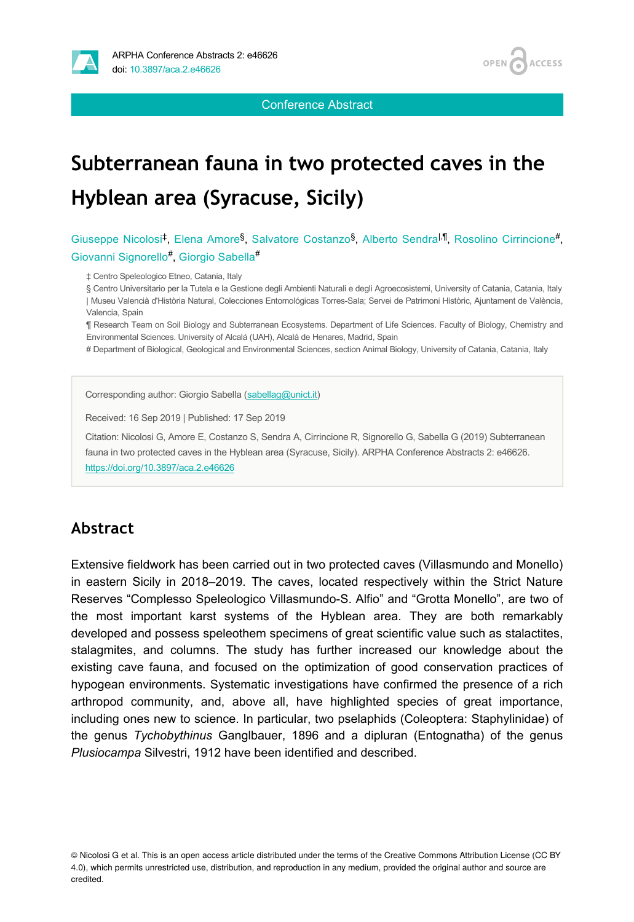

Conference Abstract

## **Subterranean fauna in two protected caves in the Hyblean area (Syracuse, Sicily)**

Giuseppe Nicolosi<sup>‡</sup>, Elena Amore<sup>§</sup>, Salvatore Costanzo<sup>§</sup>, Alberto Sendra<sup>l,¶</sup>, Rosolino Cirrincione<sup>#</sup>, Giovanni Signorello<sup>#</sup>, Giorgio Sabella<sup>#</sup>

‡ Centro Speleologico Etneo, Catania, Italy

§ Centro Universitario per la Tutela e la Gestione degli Ambienti Naturali e degli Agroecosistemi, University of Catania, Catania, Italy | Museu Valencià d'Història Natural, Colecciones Entomológicas Torres-Sala; Servei de Patrimoni Històric, Ajuntament de València, Valencia, Spain

¶ Research Team on Soil Biology and Subterranean Ecosystems. Department of Life Sciences. Faculty of Biology, Chemistry and Environmental Sciences. University of Alcalá (UAH), Alcalá de Henares, Madrid, Spain

# Department of Biological, Geological and Environmental Sciences, section Animal Biology, University of Catania, Catania, Italy

Corresponding author: Giorgio Sabella [\(sabellag@unict.it\)](mailto:sabellag@unict.it)

Received: 16 Sep 2019 | Published: 17 Sep 2019

Citation: Nicolosi G, Amore E, Costanzo S, Sendra A, Cirrincione R, Signorello G, Sabella G (2019) Subterranean fauna in two protected caves in the Hyblean area (Syracuse, Sicily). ARPHA Conference Abstracts 2: e46626. <https://doi.org/10.3897/aca.2.e46626>

## **Abstract**

Extensive fieldwork has been carried out in two protected caves (Villasmundo and Monello) in eastern Sicily in 2018–2019. The caves, located respectively within the Strict Nature Reserves "Complesso Speleologico Villasmundo-S. Alfio" and "Grotta Monello", are two of the most important karst systems of the Hyblean area. They are both remarkably developed and possess speleothem specimens of great scientific value such as stalactites, stalagmites, and columns. The study has further increased our knowledge about the existing cave fauna, and focused on the optimization of good conservation practices of hypogean environments. Systematic investigations have confirmed the presence of a rich arthropod community, and, above all, have highlighted species of great importance, including ones new to science. In particular, two pselaphids (Coleoptera: Staphylinidae) of the genus *Tychobythinus* Ganglbauer, 1896 and a dipluran (Entognatha) of the genus *Plusiocampa* Silvestri, 1912 have been identified and described.

<sup>©</sup> Nicolosi G et al. This is an open access article distributed under the terms of the Creative Commons Attribution License (CC BY 4.0), which permits unrestricted use, distribution, and reproduction in any medium, provided the original author and source are credited.